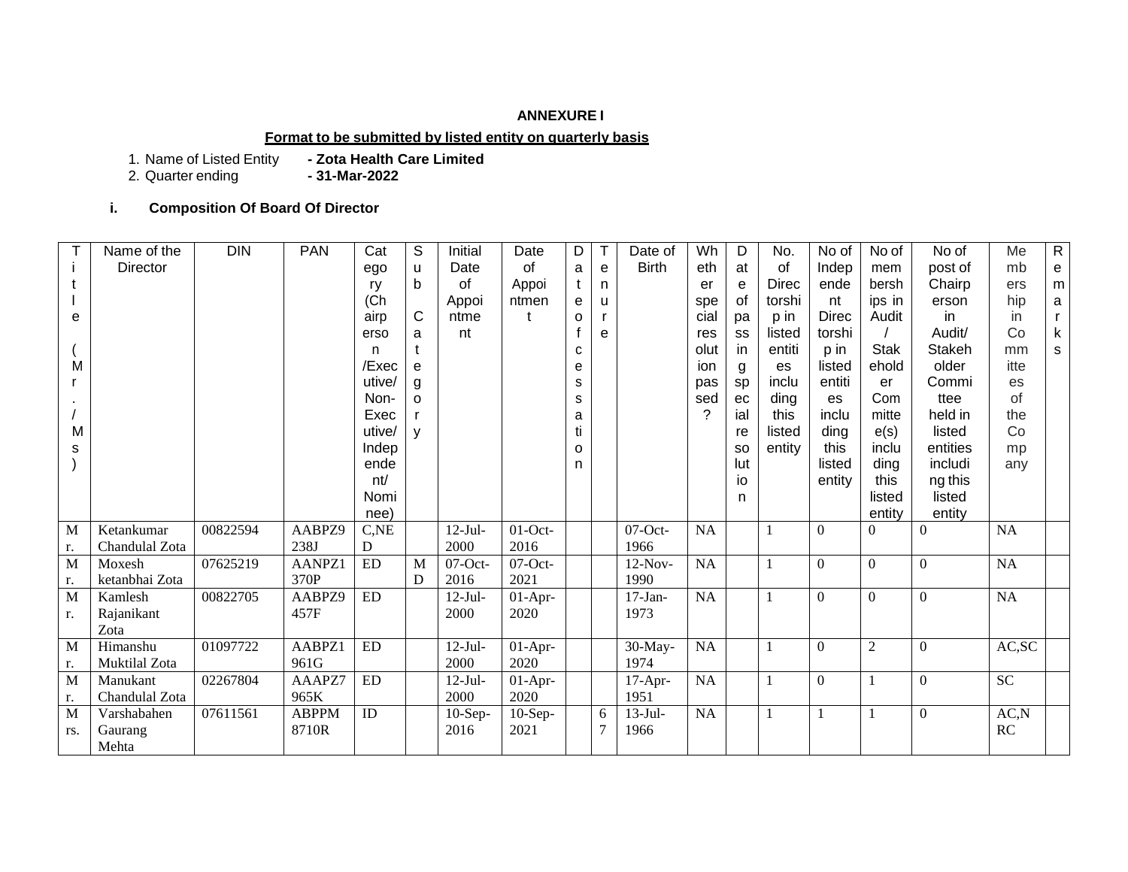### **ANNEXURE I**

## **Format to be submitted by listed entity on quarterly basis**

1. Name of Listed Entity **- Zota Health Care Limited**

2. Quarter ending **- 31-Mar-2022**

## **i. Composition Of Board Of Director**

| T   | Name of the    | <b>DIN</b> | <b>PAN</b>   | Cat        | S            | Initial    | Date       | D  | $\mathsf T$    | Date of      | Wh        | D         | No.          | No of        | No of          | No of            | Me        | $\mathsf{R}$ |
|-----|----------------|------------|--------------|------------|--------------|------------|------------|----|----------------|--------------|-----------|-----------|--------------|--------------|----------------|------------------|-----------|--------------|
|     | Director       |            |              | ego        | u            | Date       | of         | a  | e              | <b>Birth</b> | eth       | at        | of           | Indep        | mem            | post of          | mb        | е            |
|     |                |            |              | ry         | b            | of         | Appoi      | t  | n              |              | er        | e         | <b>Direc</b> | ende         | bersh          | Chairp           | ers       | m            |
|     |                |            |              | (Ch        |              | Appoi      | ntmen      | e  | <b>u</b>       |              | spe       | of        | torshi       | nt           | ips in         | erson            | hip       | a            |
| е   |                |            |              | airp       | $\mathsf{C}$ | ntme       |            | 0  |                |              | cial      | pa        | p in         | <b>Direc</b> | Audit          | in               | in        | $\mathsf{r}$ |
|     |                |            |              | erso       | a            | nt         |            |    | e              |              | res       | SS        | listed       | torshi       |                | Audit/           | Co        | k            |
|     |                |            |              | n          | t            |            |            | с  |                |              | olut      | in        | entiti       | p in         | <b>Stak</b>    | Stakeh           | mm        | s            |
| M   |                |            |              | /Exec      | e            |            |            | е  |                |              | ion       | g         | es           | listed       | ehold          | older            | itte      |              |
|     |                |            |              | utive/     | g            |            |            | s  |                |              | pas       | sp        | inclu        | entiti       | er             | Commi            | es        |              |
|     |                |            |              | Non-       | $\Omega$     |            |            | s  |                |              | sed       | ec        | ding         | es           | Com            | ttee             | of        |              |
|     |                |            |              | Exec       |              |            |            | a  |                |              | ?         | ial       | this         | inclu        | mitte          | held in          | the       |              |
| M   |                |            |              | utive/     | V            |            |            | ti |                |              |           | re        | listed       | ding         | e(s)           | listed           | Co        |              |
| s   |                |            |              | Indep      |              |            |            | o  |                |              |           | <b>SO</b> | entity       | this         | inclu          | entities         | mp        |              |
|     |                |            |              | ende       |              |            |            | n  |                |              |           | lut       |              | listed       | ding           | includi          | any       |              |
|     |                |            |              | nt/        |              |            |            |    |                |              |           | io        |              | entity       | this           | ng this          |           |              |
|     |                |            |              | Nomi       |              |            |            |    |                |              |           | n.        |              |              | listed         | listed           |           |              |
|     |                |            |              | nee)       |              |            |            |    |                |              |           |           |              |              | entity         | entity           |           |              |
| M   | Ketankumar     | 00822594   | AABPZ9       | C,NE       |              | $12-Jul-$  | $01$ -Oct- |    |                | $07$ -Oct-   | <b>NA</b> |           |              | $\theta$     | $\Omega$       | $\Omega$         | <b>NA</b> |              |
| r.  | Chandulal Zota |            | 238J         | D          |              | 2000       | 2016       |    |                | 1966         |           |           |              |              |                |                  |           |              |
| M   | Moxesh         | 07625219   | AANPZ1       | ED         | M            | $07$ -Oct- | $07$ -Oct- |    |                | $12-Nov-$    | NA        |           |              | $\mathbf{0}$ | $\Omega$       | $\Omega$         | <b>NA</b> |              |
| r.  | ketanbhai Zota |            | 370P         |            | D            | 2016       | 2021       |    |                | 1990         |           |           |              |              |                |                  |           |              |
| M   | Kamlesh        | 00822705   | AABPZ9       | <b>ED</b>  |              | $12-Jul-$  | $01-Apr-$  |    |                | $17-Jan-$    | <b>NA</b> |           |              | $\mathbf{0}$ | $\overline{0}$ | $\boldsymbol{0}$ | NA        |              |
| r.  | Rajanikant     |            | 457F         |            |              | 2000       | 2020       |    |                | 1973         |           |           |              |              |                |                  |           |              |
|     | Zota           |            |              |            |              |            |            |    |                |              |           |           |              |              |                |                  |           |              |
| M   | Himanshu       | 01097722   | AABPZ1       | ${\rm ED}$ |              | $12-Jul-$  | $01-Apr-$  |    |                | 30-May-      | NA        |           |              | $\mathbf{0}$ | $\overline{2}$ | $\Omega$         | AC, SC    |              |
| r.  | Muktilal Zota  |            | 961G         |            |              | 2000       | 2020       |    |                | 1974         |           |           |              |              |                |                  |           |              |
| M   | Manukant       | 02267804   | AAAPZ7       | ED         |              | $12-Jul-$  | $01-Apr-$  |    |                | $17-Apr-$    | <b>NA</b> |           |              | $\theta$     |                | $\Omega$         | <b>SC</b> |              |
| r.  | Chandulal Zota |            | 965K         |            |              | 2000       | 2020       |    |                | 1951         |           |           |              |              |                |                  |           |              |
| M   | Varshabahen    | 07611561   | <b>ABPPM</b> | ID         |              | $10-Sep-$  | $10-Sep-$  |    | 6              | $13-Jul-$    | NA        |           |              | 1            |                | $\overline{0}$   | AC, N     |              |
| rs. | Gaurang        |            | 8710R        |            |              | 2016       | 2021       |    | $\overline{7}$ | 1966         |           |           |              |              |                |                  | RC        |              |
|     | Mehta          |            |              |            |              |            |            |    |                |              |           |           |              |              |                |                  |           |              |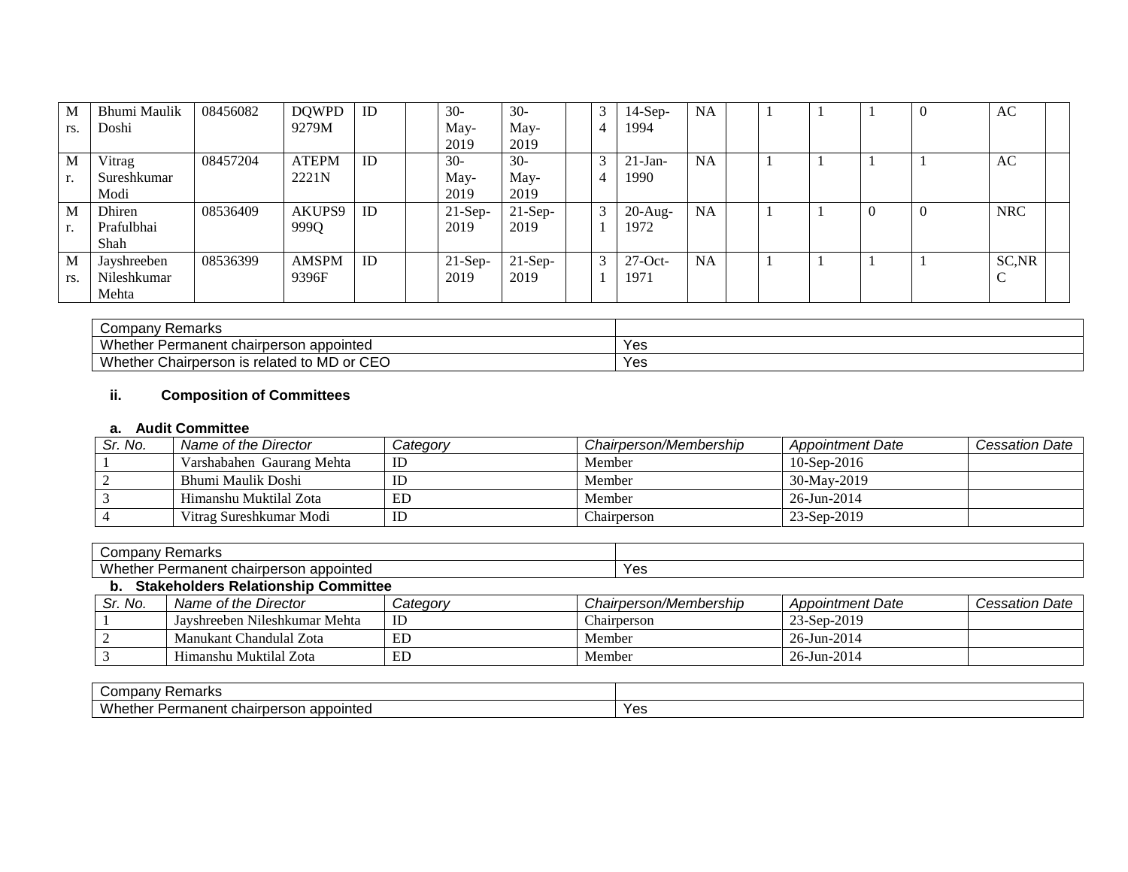| $\mathbf{M}$   | Bhumi Maulik | 08456082 | <b>DOWPD</b> | ID | $30-$     | $30-$     | 3            | $14-Sep-$  | <b>NA</b> |  |          | AC         |  |
|----------------|--------------|----------|--------------|----|-----------|-----------|--------------|------------|-----------|--|----------|------------|--|
| rs.            | Doshi        |          | 9279M        |    | May-      | May-      | 4            | 1994       |           |  |          |            |  |
|                |              |          |              |    | 2019      | 2019      |              |            |           |  |          |            |  |
| $\mathbf{M}$   | Vitrag       | 08457204 | <b>ATEPM</b> | ID | $30-$     | $30-$     | $\mathbf{r}$ | $21-Ian-$  | <b>NA</b> |  |          | AC         |  |
| r.             | Sureshkumar  |          | 2221N        |    | May-      | May-      | 4            | 1990       |           |  |          |            |  |
|                | Modi         |          |              |    | 2019      | 2019      |              |            |           |  |          |            |  |
| $\mathbf{M}$   | Dhiren       | 08536409 | AKUPS9       | ID | $21-Sep-$ | $21-Sep-$ | 3            | $20$ -Aug- | <b>NA</b> |  | $\Omega$ | <b>NRC</b> |  |
| r.             | Prafulbhai   |          | 999Q         |    | 2019      | 2019      |              | 1972       |           |  |          |            |  |
|                | Shah         |          |              |    |           |           |              |            |           |  |          |            |  |
| $\blacksquare$ | Jayshreeben  | 08536399 | <b>AMSPM</b> | ID | $21-Sep-$ | $21-Sep-$ | 3            | $27$ -Oct- | <b>NA</b> |  |          | SC, NR     |  |
| rs.            | Nileshkumar  |          | 9396F        |    | 2019      | 2019      |              | 1971       |           |  |          | С          |  |
|                | Mehta        |          |              |    |           |           |              |            |           |  |          |            |  |

| Pamark<br>Company<br>NUIII AINS                                                               |     |
|-----------------------------------------------------------------------------------------------|-----|
| Wh <sub>o</sub><br>, appointed<br>rperson<br>: Permanent<br>chai<br><br>eetner                | Yes |
| $\sim$ $\sim$<br><b>Whe</b><br>to MD<br>∍ or<br>lether.<br>Chairperson<br>า is related<br>◡∟◡ | Yes |

# **ii. Composition of Committees**

#### **a. Audit Committee**

| Sr. No. | Name of the Director      | Categorv | Chairperson/Membership | <b>Appointment Date</b> | Cessation Date |
|---------|---------------------------|----------|------------------------|-------------------------|----------------|
|         | Varshabahen Gaurang Mehta | ID       | Member                 | 10-Sep-2016             |                |
|         | Bhumi Maulik Doshi        |          | Member                 | 30-May-2019             |                |
|         | Himanshu Muktilal Zota    |          | Member                 | 26-Jun-2014             |                |
|         | Vitrag Sureshkumar Modi   |          | Chairperson            | 23-Sep-2019             |                |

| Company Remarks                         |                                        |          |             |                        |                         |                |  |  |
|-----------------------------------------|----------------------------------------|----------|-------------|------------------------|-------------------------|----------------|--|--|
| Whether Permanent chairperson appointed |                                        |          |             | Yes                    |                         |                |  |  |
|                                         | b. Stakeholders Relationship Committee |          |             |                        |                         |                |  |  |
| Sr. No.                                 | Name of the Director                   | Category |             | Chairperson/Membership | <b>Appointment Date</b> | Cessation Date |  |  |
|                                         | Jayshreeben Nileshkumar Mehta          | ID       | Chairperson |                        | 23-Sep-2019             |                |  |  |
|                                         | Manukant Chandulal Zota                | ED       | Member      |                        | 26-Jun-2014             |                |  |  |
|                                         | Himanshu Muktilal Zota                 | ED       | Member      |                        | 26-Jun-2014             |                |  |  |

| ∠ompanv<br><b>Remarks</b>                                    |     |
|--------------------------------------------------------------|-----|
| "Vhether.<br>urperson appointed<br>'ermanent ch<br>Dorm<br>. | Yes |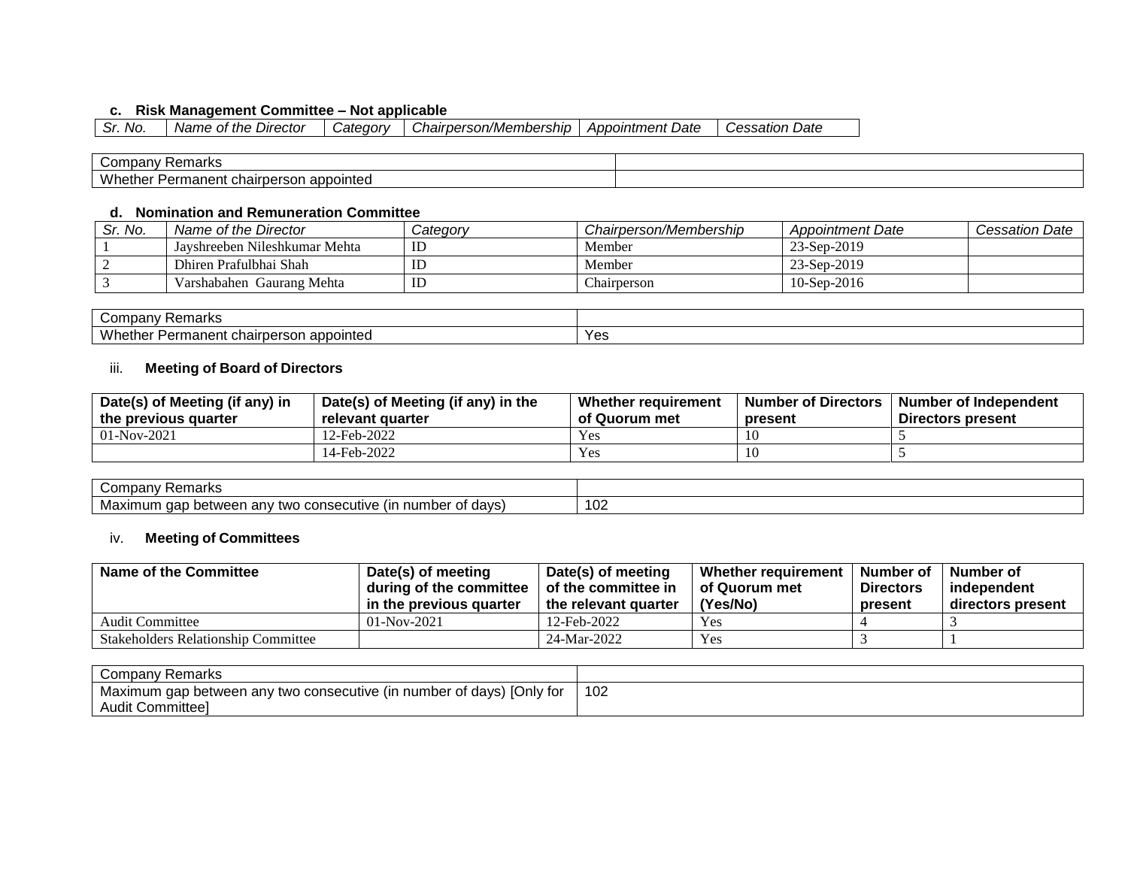# **c. Risk Management Committee – Not applicable**

| $\sim$ $\sim$ $\prime$ $\sim$ |             |                                      |                 |                                    |                     |                   |
|-------------------------------|-------------|--------------------------------------|-----------------|------------------------------------|---------------------|-------------------|
|                               | No.<br>. اد | <b>Director</b><br>the<br>Name<br>Οt | <i>_atedorv</i> | Chairnersc<br>/Membership<br>ונורי | Date<br>Appoıntment | Date<br>,essation |

| -<br>$\sim$<br>παικε                      |  |
|-------------------------------------------|--|
| Whethe<br>pointed<br>iner<br>ם ב∧<br>airr |  |

#### **d. Nomination and Remuneration Committee**

| Sr. No. | Name of the Director          | <i><b>Category</b></i> | Chairperson/Membership | Appointment Date | <b>Cessation Date</b> |
|---------|-------------------------------|------------------------|------------------------|------------------|-----------------------|
|         | Javshreeben Nileshkumar Mehta | ID                     | Member                 | 23-Sep-2019      |                       |
|         | Dhiren Prafulbhai Shah        | ID                     | Member                 | 23-Sep-2019      |                       |
|         | Varshabahen Gaurang Mehta     | ID                     | Chairperson            | $10$ -Sep-2016   |                       |

| Remarks<br>Company                                             |                          |
|----------------------------------------------------------------|--------------------------|
| Whether<br>Permanent<br>າ appointed<br>ob.<br>rperson<br>chail | $V_{\mathbf{a}}$<br>r ဗ১ |

## iii. **Meeting of Board of Directors**

| Date(s) of Meeting (if any) in<br>the previous quarter | Date(s) of Meeting (if any) in the<br>relevant quarter | Whether requirement<br>of Quorum met | <b>Number of Directors</b><br>present | <b>Number of Independent</b><br>Directors present |
|--------------------------------------------------------|--------------------------------------------------------|--------------------------------------|---------------------------------------|---------------------------------------------------|
| $01-Nov-2021$                                          | 12-Feb-2022                                            | <b>Yes</b>                           |                                       |                                                   |
|                                                        | 14-Feb-2022                                            | <b>Yes</b>                           |                                       |                                                   |

| ' Remarks<br>Company '                                                                                        |     |
|---------------------------------------------------------------------------------------------------------------|-----|
| of davs,<br>Max<br>∴ ∩nsecutive <del>un</del><br>∍ between<br>anv<br>∑'mum qa∟<br>two<br>ה הוועדי<br>ш<br>. . | 102 |

## iv. **Meeting of Committees**

| Name of the Committee                      | Date(s) of meeting<br>during of the committee<br>in the previous quarter | Date(s) of meeting<br>of the committee in<br>the relevant quarter | Whether requirement<br>of Quorum met<br>(Yes/No) | Number of<br><b>Directors</b><br>present | Number of<br>independent<br>directors present |
|--------------------------------------------|--------------------------------------------------------------------------|-------------------------------------------------------------------|--------------------------------------------------|------------------------------------------|-----------------------------------------------|
| Audit Committee                            | $01-Nov-2021$                                                            | l 2-Feb-2022                                                      | Yes                                              |                                          |                                               |
| <b>Stakeholders Relationship Committee</b> |                                                                          | 24-Mar-2022                                                       | Yes                                              |                                          |                                               |

| Company<br>' Remarks                                                  |     |
|-----------------------------------------------------------------------|-----|
| Maximum gap between any two consecutive (in number of days) [Only for | 102 |
| Audit Committee]                                                      |     |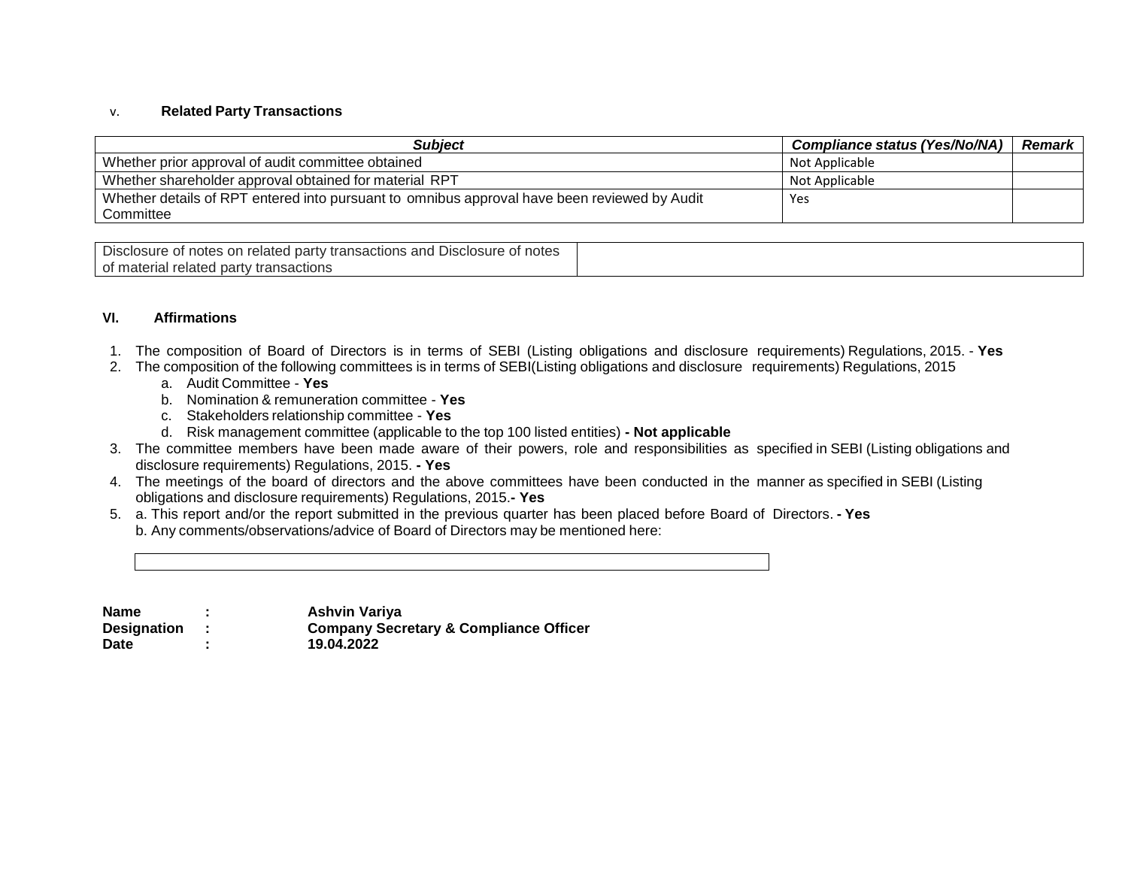#### v. **Related Party Transactions**

| Subiect                                                                                      | Compliance status (Yes/No/NA) | <b>Remark</b> |
|----------------------------------------------------------------------------------------------|-------------------------------|---------------|
| Whether prior approval of audit committee obtained                                           | Not Applicable                |               |
| Whether shareholder approval obtained for material RPT                                       | Not Applicable                |               |
| Whether details of RPT entered into pursuant to omnibus approval have been reviewed by Audit | Yes                           |               |
| Committee                                                                                    |                               |               |

Disclosure of notes on related party transactions and Disclosure of notes of material related party transactions

#### **VI. Affirmations**

- 1. The composition of Board of Directors is in terms of SEBI (Listing obligations and disclosure requirements) Regulations, 2015. **Yes**
- 2. The composition of the following committees is in terms of SEBI(Listing obligations and disclosure requirements) Regulations, 2015
	- a. Audit Committee **Yes**
	- b. Nomination & remuneration committee **Yes**
	- c. Stakeholders relationship committee **Yes**
	- d. Risk management committee (applicable to the top 100 listed entities) **- Not applicable**
- 3. The committee members have been made aware of their powers, role and responsibilities as specified in SEBI (Listing obligations and disclosure requirements) Regulations, 2015. **- Yes**
- 4. The meetings of the board of directors and the above committees have been conducted in the manner as specified in SEBI (Listing obligations and disclosure requirements) Regulations, 2015.**- Yes**
- 5. a. This report and/or the report submitted in the previous quarter has been placed before Board of Directors. **- Yes** b. Any comments/observations/advice of Board of Directors may be mentioned here:

| Name               | Ashvin Variya                                     |
|--------------------|---------------------------------------------------|
| <b>Designation</b> | <b>Company Secretary &amp; Compliance Officer</b> |
| <b>Date</b>        | 19.04.2022                                        |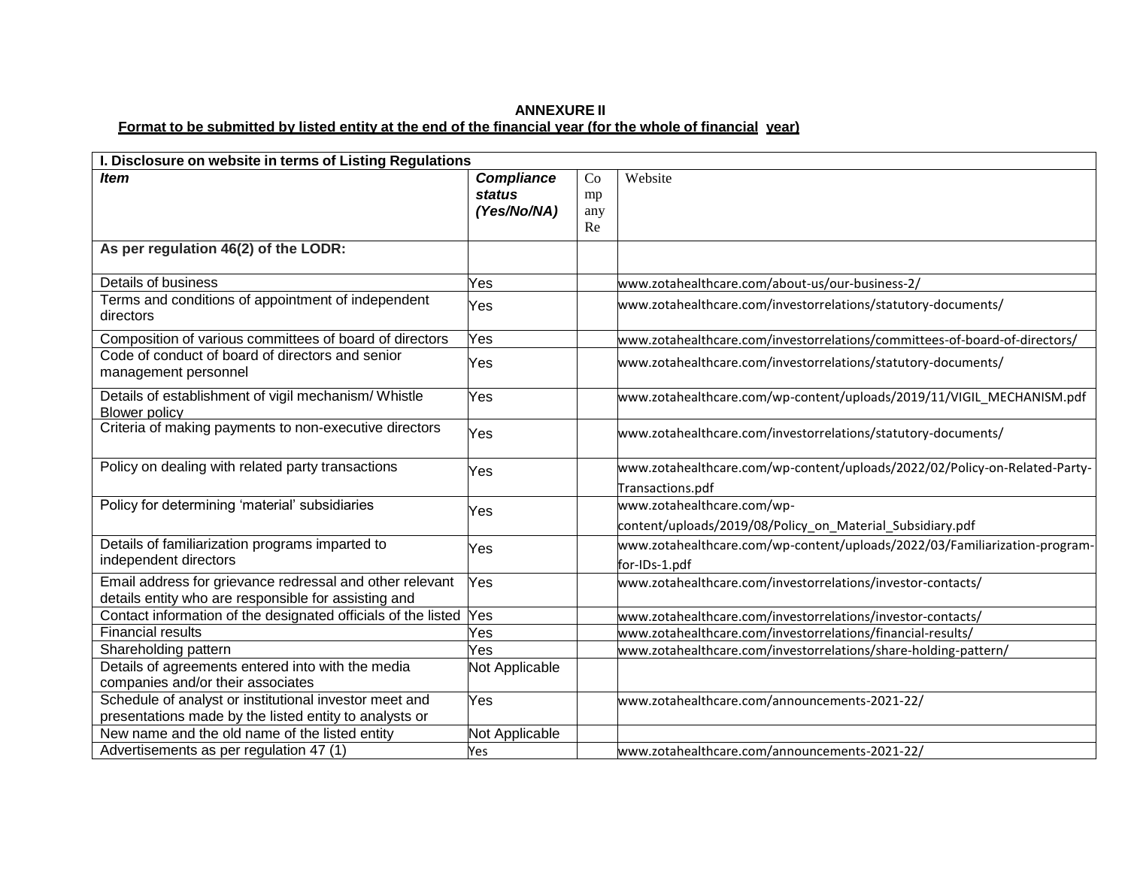# **ANNEXURE II** Format to be submitted by listed entity at the end of the financial year (for the whole of financial year)

| I. Disclosure on website in terms of Listing Regulations                                                         |                                            |                       |                                                                                                |  |  |  |
|------------------------------------------------------------------------------------------------------------------|--------------------------------------------|-----------------------|------------------------------------------------------------------------------------------------|--|--|--|
| <b>Item</b>                                                                                                      | <b>Compliance</b><br>status<br>(Yes/No/NA) | Co<br>mp<br>any<br>Re | Website                                                                                        |  |  |  |
| As per regulation 46(2) of the LODR:                                                                             |                                            |                       |                                                                                                |  |  |  |
| Details of business                                                                                              | Yes                                        |                       | www.zotahealthcare.com/about-us/our-business-2/                                                |  |  |  |
| Terms and conditions of appointment of independent<br>directors                                                  | Yes                                        |                       | /www.zotahealthcare.com/investorrelations/statutory-documents                                  |  |  |  |
| Composition of various committees of board of directors                                                          | Yes                                        |                       | www.zotahealthcare.com/investorrelations/committees-of-board-of-directors/                     |  |  |  |
| Code of conduct of board of directors and senior<br>management personnel                                         | Yes                                        |                       | www.zotahealthcare.com/investorrelations/statutory-documents/                                  |  |  |  |
| Details of establishment of vigil mechanism/ Whistle<br><b>Blower policy</b>                                     | Yes                                        |                       | www.zotahealthcare.com/wp-content/uploads/2019/11/VIGIL_MECHANISM.pdf                          |  |  |  |
| Criteria of making payments to non-executive directors                                                           | Yes                                        |                       | /www.zotahealthcare.com/investorrelations/statutory-documents                                  |  |  |  |
| Policy on dealing with related party transactions                                                                | Yes                                        |                       | www.zotahealthcare.com/wp-content/uploads/2022/02/Policy-on-Related-Party-<br>Transactions.pdf |  |  |  |
| Policy for determining 'material' subsidiaries                                                                   | Yes                                        |                       | www.zotahealthcare.com/wp-<br>content/uploads/2019/08/Policy_on_Material_Subsidiary.pdf        |  |  |  |
| Details of familiarization programs imparted to<br>independent directors                                         | Yes                                        |                       | www.zotahealthcare.com/wp-content/uploads/2022/03/Familiarization-program-<br>for-IDs-1.pdf    |  |  |  |
| Email address for grievance redressal and other relevant<br>details entity who are responsible for assisting and | Yes                                        |                       | www.zotahealthcare.com/investorrelations/investor-contacts/                                    |  |  |  |
| Contact information of the designated officials of the listed Yes                                                |                                            |                       | www.zotahealthcare.com/investorrelations/investor-contacts/                                    |  |  |  |
| <b>Financial results</b>                                                                                         | Yes                                        |                       | www.zotahealthcare.com/investorrelations/financial-results/                                    |  |  |  |
| Shareholding pattern                                                                                             | Yes                                        |                       | www.zotahealthcare.com/investorrelations/share-holding-pattern/                                |  |  |  |
| Details of agreements entered into with the media<br>companies and/or their associates                           | Not Applicable                             |                       |                                                                                                |  |  |  |
| Schedule of analyst or institutional investor meet and<br>presentations made by the listed entity to analysts or | Yes                                        |                       | www.zotahealthcare.com/announcements-2021-22/                                                  |  |  |  |
| New name and the old name of the listed entity                                                                   | Not Applicable                             |                       |                                                                                                |  |  |  |
| Advertisements as per regulation 47 (1)                                                                          | Yes                                        |                       | www.zotahealthcare.com/announcements-2021-22/                                                  |  |  |  |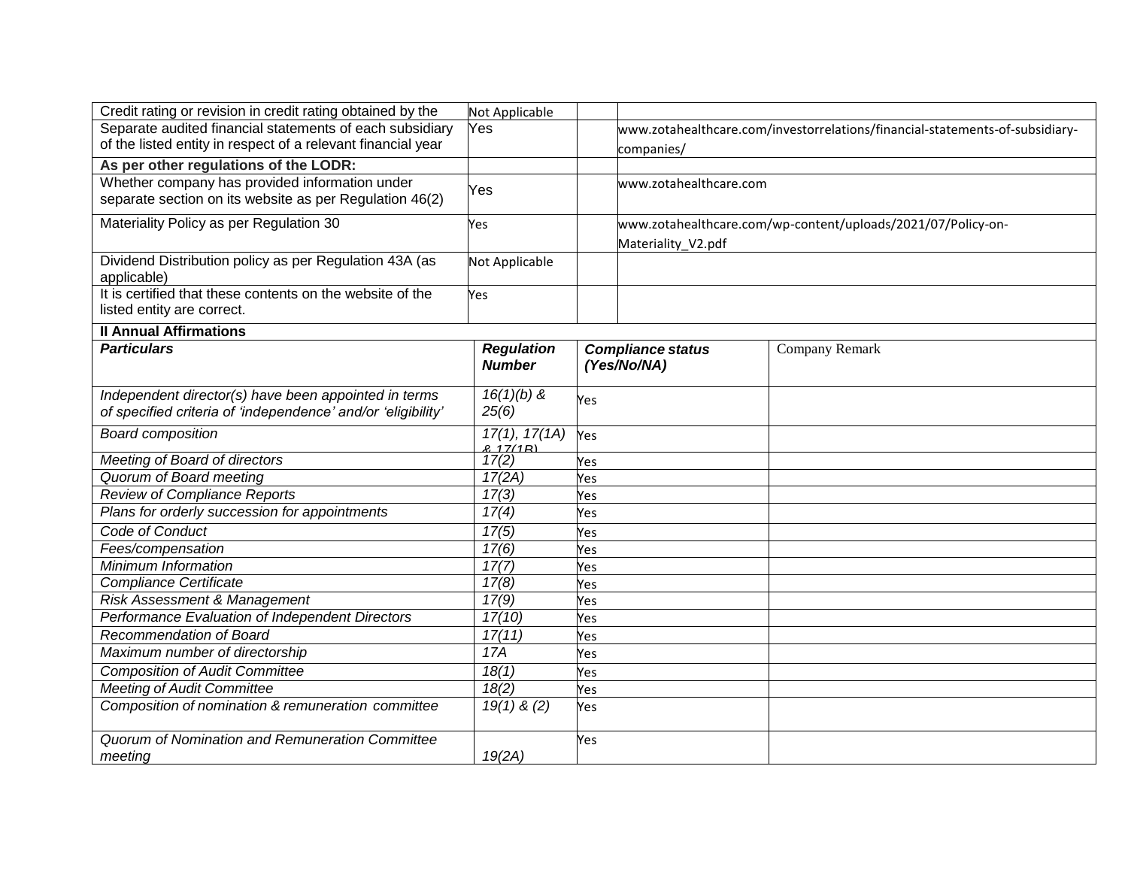| Credit rating or revision in credit rating obtained by the   | Not Applicable            |                          |                                                                              |
|--------------------------------------------------------------|---------------------------|--------------------------|------------------------------------------------------------------------------|
| Separate audited financial statements of each subsidiary     | Yes                       |                          | www.zotahealthcare.com/investorrelations/financial-statements-of-subsidiary- |
| of the listed entity in respect of a relevant financial year |                           | companies/               |                                                                              |
| As per other regulations of the LODR:                        |                           |                          |                                                                              |
| Whether company has provided information under               | Yes                       |                          | www.zotahealthcare.com                                                       |
| separate section on its website as per Regulation 46(2)      |                           |                          |                                                                              |
| Materiality Policy as per Regulation 30                      | Yes                       |                          | www.zotahealthcare.com/wp-content/uploads/2021/07/Policy-on-                 |
|                                                              |                           | Materiality V2.pdf       |                                                                              |
| Dividend Distribution policy as per Regulation 43A (as       | Not Applicable            |                          |                                                                              |
| applicable)                                                  |                           |                          |                                                                              |
| It is certified that these contents on the website of the    | Yes                       |                          |                                                                              |
| listed entity are correct.                                   |                           |                          |                                                                              |
| <b>Il Annual Affirmations</b>                                |                           |                          |                                                                              |
| <b>Particulars</b>                                           | <b>Regulation</b>         | <b>Compliance status</b> | Company Remark                                                               |
|                                                              | <b>Number</b>             | (Yes/No/NA)              |                                                                              |
| Independent director(s) have been appointed in terms         | $16(1)(b)$ &              |                          |                                                                              |
| of specified criteria of 'independence' and/or 'eligibility' | 25(6)                     | Yes                      |                                                                              |
|                                                              |                           |                          |                                                                              |
| <b>Board composition</b>                                     | 17(1), 17(1A)<br>8.17/1R) | Yes                      |                                                                              |
| Meeting of Board of directors                                | 17(2)                     | Yes                      |                                                                              |
| Quorum of Board meeting                                      | 17(2A)                    | Yes                      |                                                                              |
| <b>Review of Compliance Reports</b>                          | 17(3)                     | Yes                      |                                                                              |
| Plans for orderly succession for appointments                | 17(4)                     | Yes                      |                                                                              |
| Code of Conduct                                              | 17(5)                     | Yes                      |                                                                              |
| Fees/compensation                                            | 17(6)                     | Yes                      |                                                                              |
| Minimum Information                                          | 17(7)                     | Yes                      |                                                                              |
| <b>Compliance Certificate</b>                                | 17(8)                     | Yes                      |                                                                              |
| Risk Assessment & Management                                 | 17(9)                     | Yes                      |                                                                              |
| Performance Evaluation of Independent Directors              | 17(10)                    | Yes                      |                                                                              |
| Recommendation of Board                                      | 17(11)                    | Yes                      |                                                                              |
| Maximum number of directorship                               | 17A                       | Yes                      |                                                                              |
| <b>Composition of Audit Committee</b>                        | 18(1)                     | Yes                      |                                                                              |
| <b>Meeting of Audit Committee</b>                            | 18(2)                     | Yes                      |                                                                              |
| Composition of nomination & remuneration committee           | $19(1)$ & (2)             | Yes                      |                                                                              |
|                                                              |                           |                          |                                                                              |
| Quorum of Nomination and Remuneration Committee              |                           | Yes                      |                                                                              |
| meeting                                                      | 19(2A)                    |                          |                                                                              |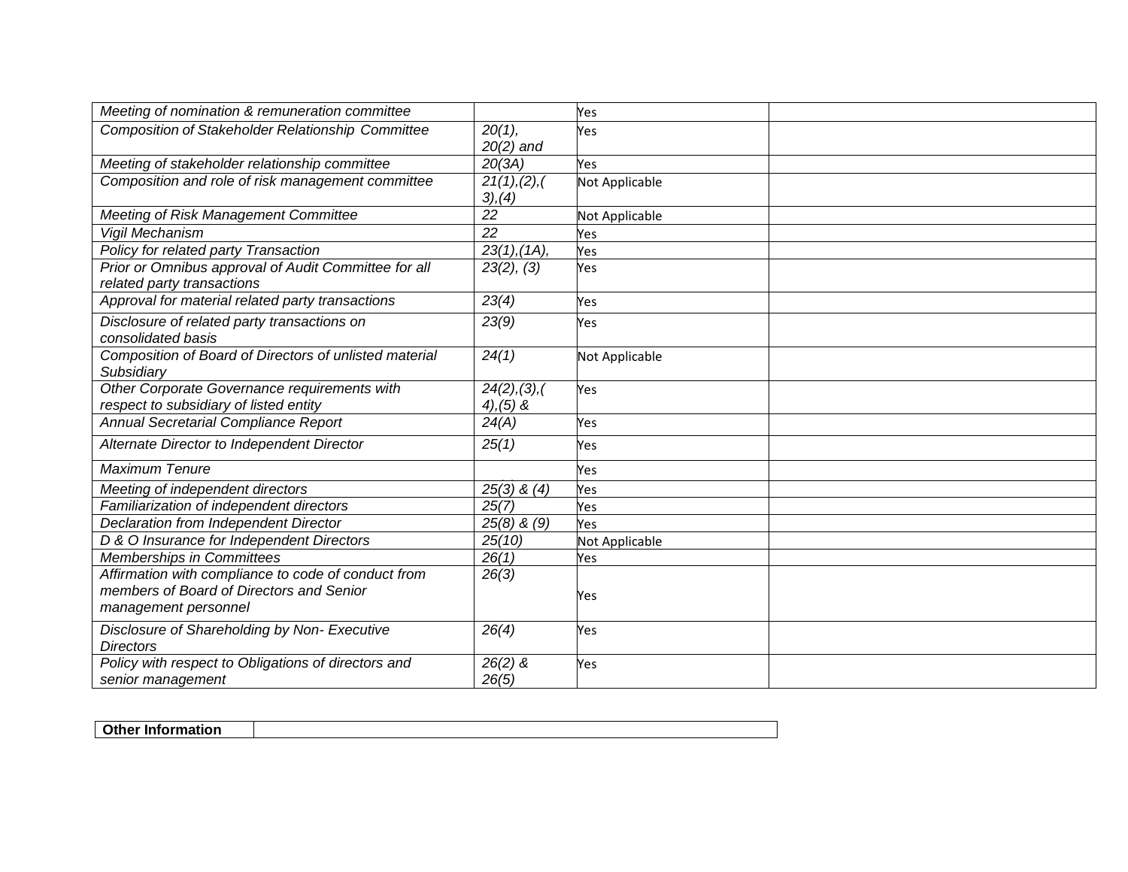| Meeting of nomination & remuneration committee                                                                          |                               | Yes            |
|-------------------------------------------------------------------------------------------------------------------------|-------------------------------|----------------|
| <b>Composition of Stakeholder Relationship Committee</b>                                                                | $20(1)$ ,<br>$20(2)$ and      | Yes            |
| Meeting of stakeholder relationship committee                                                                           | 20(3A)                        | Yes            |
| Composition and role of risk management committee                                                                       | 21(1), (2), (<br>$3)$ , (4)   | Not Applicable |
| Meeting of Risk Management Committee                                                                                    | 22                            | Not Applicable |
| Vigil Mechanism                                                                                                         | $\overline{22}$               | Yes            |
| Policy for related party Transaction                                                                                    | $23(1)$ , $(1A)$ ,            | Yes            |
| Prior or Omnibus approval of Audit Committee for all<br>related party transactions                                      | 23(2), (3)                    | Yes            |
| Approval for material related party transactions                                                                        | 23(4)                         | Yes            |
| Disclosure of related party transactions on<br>consolidated basis                                                       | 23(9)                         | Yes            |
| Composition of Board of Directors of unlisted material<br>Subsidiary                                                    | 24(1)                         | Not Applicable |
| Other Corporate Governance requirements with<br>respect to subsidiary of listed entity                                  | 24(2), (3), (<br>$4)$ , (5) & | Yes            |
| Annual Secretarial Compliance Report                                                                                    | 24(A)                         | Yes            |
| Alternate Director to Independent Director                                                                              | 25(1)                         | Yes            |
| <b>Maximum Tenure</b>                                                                                                   |                               | Yes            |
| Meeting of independent directors                                                                                        | $25(3)$ & $(4)$               | Yes            |
| Familiarization of independent directors                                                                                | 25(7)                         | Yes            |
| Declaration from Independent Director                                                                                   | $25(8)$ & $(9)$               | Yes            |
| D & O Insurance for Independent Directors                                                                               | 25(10)                        | Not Applicable |
| Memberships in Committees                                                                                               | 26(1)                         | Yes            |
| Affirmation with compliance to code of conduct from<br>members of Board of Directors and Senior<br>management personnel | 26(3)                         | Yes            |
| Disclosure of Shareholding by Non- Executive<br><b>Directors</b>                                                        | 26(4)                         | Yes            |
| Policy with respect to Obligations of directors and<br>senior management                                                | $26(2)$ &<br>26(5)            | Yes            |

**Other Information**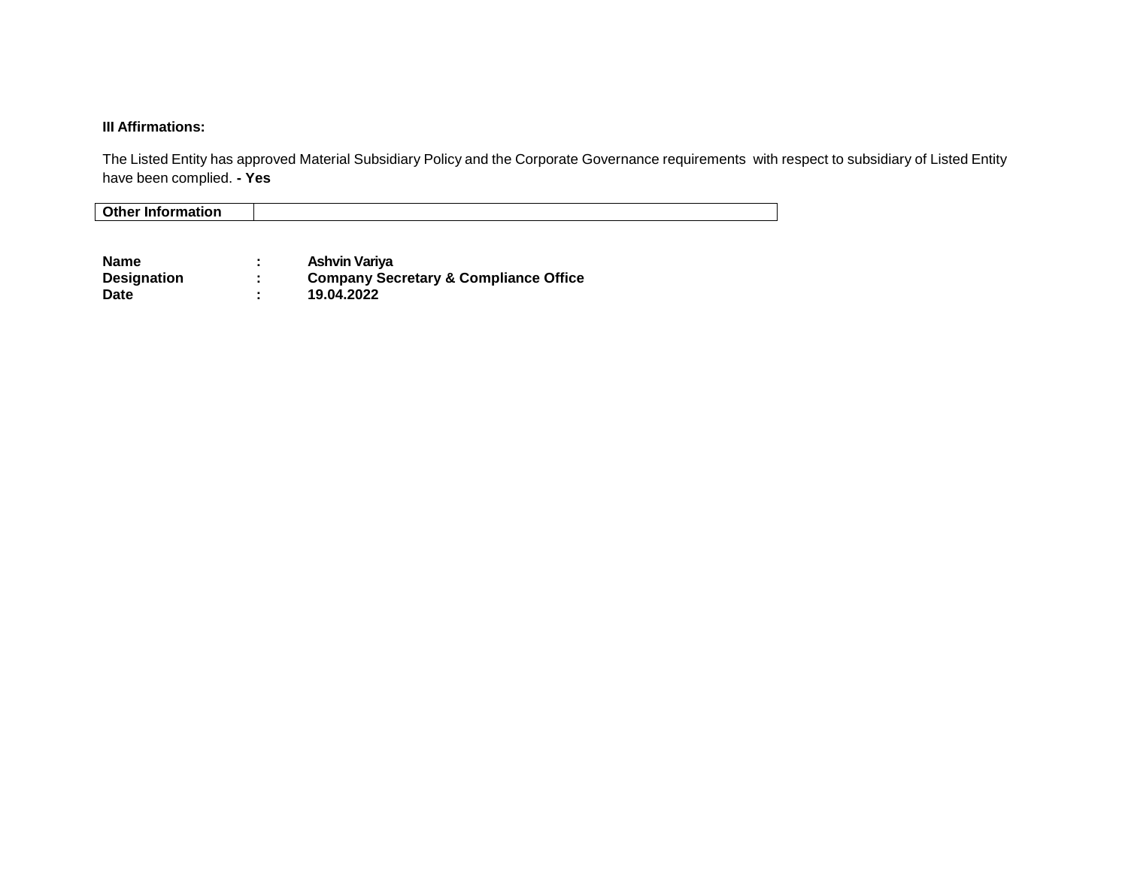### **III Affirmations:**

The Listed Entity has approved Material Subsidiary Policy and the Corporate Governance requirements with respect to subsidiary of Listed Entity have been complied. **- Yes**

| <b>Other Information</b> |  |
|--------------------------|--|
|                          |  |

| <b>Name</b>        | ٠ | Ashvin Variya                                    |
|--------------------|---|--------------------------------------------------|
| <b>Designation</b> | ٠ | <b>Company Secretary &amp; Compliance Office</b> |
| Date               | ٠ | 19.04.2022                                       |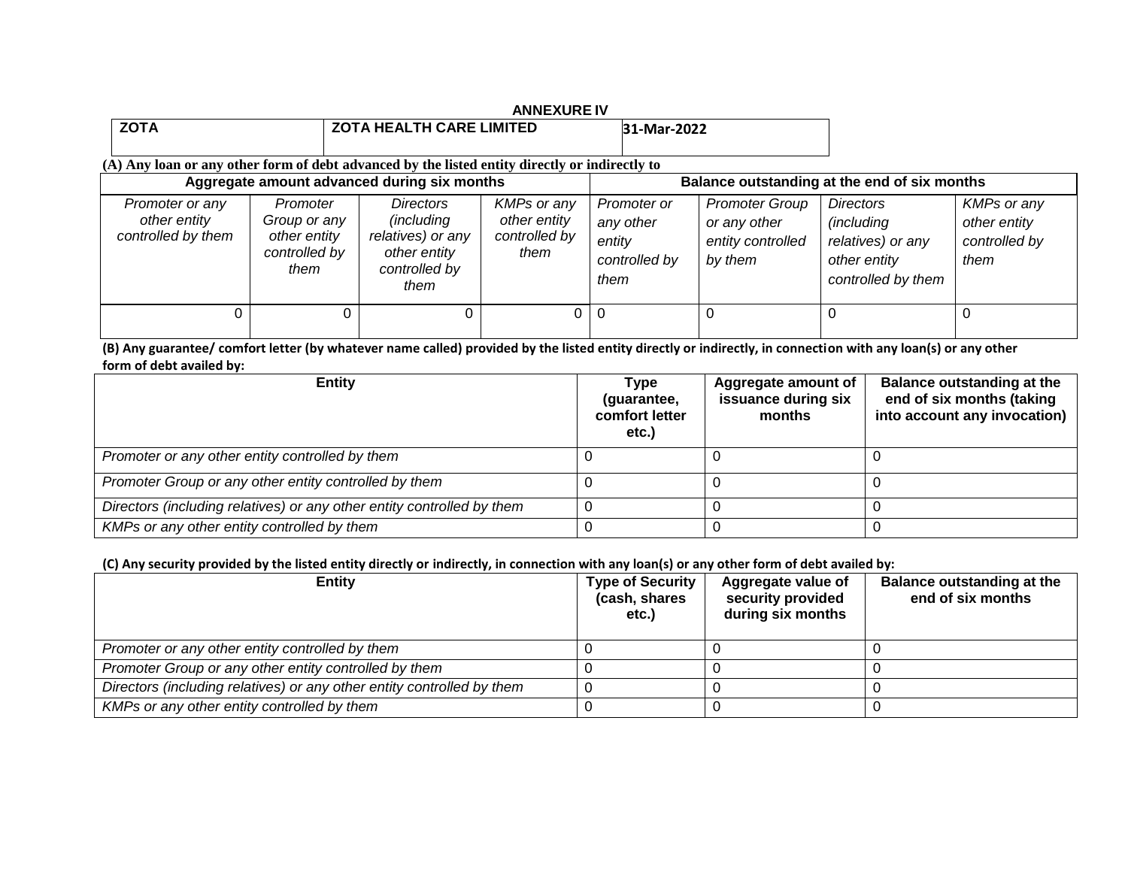| <b>ANNEXURE IV</b>                                                                             |                                                                   |                                                                                                     |                                                             |                                                             |                                                                       |                                                                                                  |                                                             |
|------------------------------------------------------------------------------------------------|-------------------------------------------------------------------|-----------------------------------------------------------------------------------------------------|-------------------------------------------------------------|-------------------------------------------------------------|-----------------------------------------------------------------------|--------------------------------------------------------------------------------------------------|-------------------------------------------------------------|
| <b>ZOTA</b>                                                                                    |                                                                   | <b>ZOTA HEALTH CARE LIMITED</b>                                                                     |                                                             | 31-Mar-2022                                                 |                                                                       |                                                                                                  |                                                             |
| (A) Any loan or any other form of debt advanced by the listed entity directly or indirectly to |                                                                   |                                                                                                     |                                                             |                                                             |                                                                       |                                                                                                  |                                                             |
|                                                                                                |                                                                   | Aggregate amount advanced during six months                                                         |                                                             |                                                             |                                                                       | Balance outstanding at the end of six months                                                     |                                                             |
| Promoter or any<br>other entity<br>controlled by them                                          | Promoter<br>Group or any<br>other entity<br>controlled by<br>them | <b>Directors</b><br><i>(including</i><br>relatives) or any<br>other entity<br>controlled by<br>them | <b>KMPs or any</b><br>other entity<br>controlled by<br>them | Promoter or<br>any other<br>entity<br>controlled by<br>them | <b>Promoter Group</b><br>or any other<br>entity controlled<br>by them | <b>Directors</b><br><i>(including</i><br>relatives) or any<br>other entity<br>controlled by them | <b>KMPs or any</b><br>other entity<br>controlled by<br>them |
| 0                                                                                              |                                                                   | 0                                                                                                   | 0                                                           | $\Omega$                                                    | $\Omega$                                                              |                                                                                                  |                                                             |

**(B) Any guarantee/ comfort letter (by whatever name called) provided by the listed entity directly or indirectly, in connection with any loan(s) or any other form of debt availed by:**

| <b>Entity</b>                                                          | Type<br>(guarantee,<br>comfort letter<br>etc.) | Aggregate amount of<br>issuance during six<br>months | Balance outstanding at the<br>end of six months (taking<br>into account any invocation) |
|------------------------------------------------------------------------|------------------------------------------------|------------------------------------------------------|-----------------------------------------------------------------------------------------|
| Promoter or any other entity controlled by them                        |                                                |                                                      |                                                                                         |
| Promoter Group or any other entity controlled by them                  |                                                |                                                      |                                                                                         |
| Directors (including relatives) or any other entity controlled by them |                                                |                                                      |                                                                                         |
| KMPs or any other entity controlled by them                            |                                                |                                                      |                                                                                         |

**(C) Any security provided by the listed entity directly or indirectly, in connection with any loan(s) or any other form of debt availed by:**

| <b>Entity</b>                                                          | <b>Type of Security</b><br>(cash, shares<br>etc.) | Aggregate value of<br>security provided<br>during six months | Balance outstanding at the<br>end of six months |
|------------------------------------------------------------------------|---------------------------------------------------|--------------------------------------------------------------|-------------------------------------------------|
| Promoter or any other entity controlled by them                        |                                                   |                                                              |                                                 |
| Promoter Group or any other entity controlled by them                  |                                                   |                                                              |                                                 |
| Directors (including relatives) or any other entity controlled by them |                                                   |                                                              |                                                 |
| KMPs or any other entity controlled by them                            |                                                   |                                                              |                                                 |